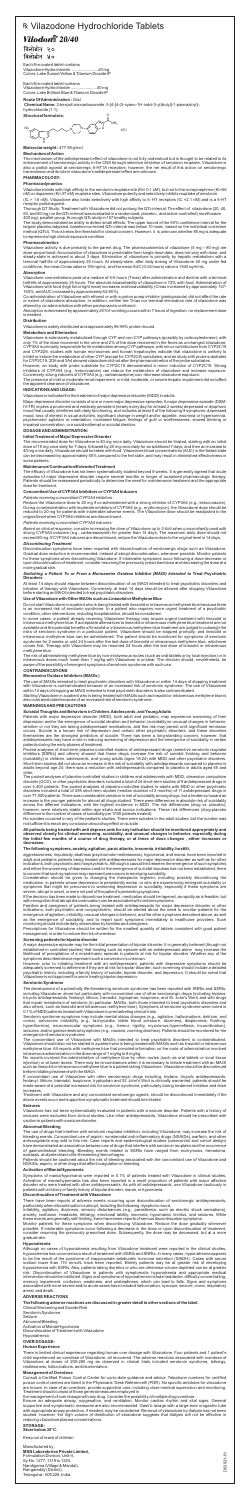# R Vilazodone Hydrochloride Tablets **Vilodon**<sup>2</sup> 20/40

विलोडोन २० विलोडोन ४०

Each film coated tablet contains Vilazodone Hydrochloride .......................20 mg Colors: Lake Sunset Yellow & Titanium Dioxide IP

Each film coated tablet contains Vilazodone Hydrochloride .......................40 mg Colors: Lake Brilliant Blue & Titanium Dioxide IP

# **Route Of Administration :** Oral

**Chemical Name:** 2-benzofurancarboxamide, 5-[4-[4-(5-cyano-1H-indol-3-yl)butyl]-1-piperazinyl]-, hydrochloride (1:1). **Structural formula is:**

**Molecular weight :** 477.99 g/mol

### **Mechanism of Action**

The mechanism of the antidepressant effect of vilazodone is not fully understood but is thought to be related to its enhancement of serotonergic activity in the CNS through selective inhibition of serotonin reuptake. Vilazodone is also a partial agonist at serotonergic 5-HT1A receptors; however, the net result of this action on serotonergic transmission and its role in vilazodone's antidepressant effect are unknown.

# **PHARMACOLOGY:**

### **Pharmacodynamics**

Vilazodone binds with high affinity to the serotonin reuptake site (Ki= 0.1 nM), but not to the norepinephrine (Ki=56 nM) or dopamine (Ki=37 nM) reuptake sites. Vilazodone potently and selectively inhibits reuptake of serotonin

### (IC = 1.6 nM). Vilazodone also binds selectively with high affinity to 5- HT receptors (IC =2.1 nM) and is a 5-HT receptor partial agonist.

Thorough QT Study: Treatment with Vilazodone did not prolong the QTc interval. The effect of vilazodone (20, 40, 60, and 80 mg) on the QTc interval was evaluated in a randomized, placebo-, and active-controlled (moxifloxacin 400 mg), parallel-group, thorough QTc study in 157 healthy subjects.

The study demonstrated an ability to detect small effects. The upper bound of the 90% confidence interval for the largest placebo-adjusted, baseline-corrected QTc interval was below 10 msec, based on the individual correction method (QTcI). This is below the threshold for clinical concern. However, it is unknown whether 80 mg is adequate to represent a high clinical exposure condition.

### **Pharmacokinetics**

Vilazodone activity is due primarily to the parent drug. The pharmacokinetics of vilazodone (5 mg – 80 mg) are dose-proportional. Accumulation of vilazodone is predictable from single dose data, does not vary with dose, and steady-state is achieved in about 3 days. Elimination of vilazodone is primarily by hepatic metabolism with a terminal half-life of approximately 25 hours. At steady-state, after daily dosing of Vilazodone 40 mg under fed conditions, the mean Cmax value is 156 ng/mL, and the mean AUC (0-24 hours) value is 1645 ng•h/mL.

### **Absorption**

Vilazodone concentrations peak at a median of 4-5 hours (Tmax) after administration and decline with a terminal half-life of approximately 25 hours. The absolute bioavailability of vilazodone is 72% with food. Administration of Vilazodone with food (high fat or light meal) increases oral bioavailability (Cmax increased by approximately 147- 160%, and AUC increased by approximately 64-85%).

Co-administration of Vilazodone with ethanol or with a proton pump inhibitor (pantoprazole) did not affect the rate or extent of vilazodone absorption. In addition, neither the Tmax nor terminal elimination rate of vilazodone was altered by co-administration with either pantoprazole or ethanol.

Absorption is decreased by approximately 25% if vomiting occurs within 7 hours of ingestion; no replacement dose is needed.

### **Distribution**

Vilazodone is widely distributed and approximately 96-99% protein-bound.

### **Metabolism and Elimination**

Based on clinical response, consider increasing the dose of Vilazodone up to 2-fold when concomitantly used with strong CYP3A4 inducers (e.g., carbamazepine) for greater than 14 days. The maximum daily dose should not exceed 80 mg. If CYP3A4 inducers are discontinued, reduce the Vilazodone dose to the original level in 14 days.

Vilazodone is extensively metabolized through CYP and non-CYP pathways (possibly by carboxylesterase), with only 1% of the dose recovered in the urine and 2% of the dose recovered in the feces as unchanged vilazodone. CYP3A4 is primarily responsible for its metabolism among CYPpathways, with minor contributions from CYP2C19 and CYP2D6. studies with human microsomes and human hepatocytes indicate that vilazodone is unlikely to inhibit or induce the metabolism of other CYP (except for CYP2C8) substrates; and an study with probe substrates for CYP2C19, 2D6 and 3A4 showed vilazodone did not alter the pharmacokinetics of the probe substrates.

However, an study with probe substrate for CYP2C19 demonstrated a minor induction of CYP2C19. Strong inhibitors of CYP3A4 (e.g., ketoconazole) can reduce the metabolism of vilazodone and increase exposure. Conversely, strong inducers of CYP3A4 (e.g., carbamazepine) can decrease vilazodone exposure.

The presence of mild or moderate renal impairment, or mild, moderate, or severe hepatic impairment did not affect the apparent clearance of vilazodone.

# **INDICATIONS AND USAGE:**

Vilazodone is indicated for the treatment of major depressive disorder (MDD) in adults.

Major depressive disorder consists of one or more major depressive episodes. A major depressive episode (DSM-IV-TR) implies a prominent and relatively persistent (nearly every day for at least 2 weeks) depressed or dysphoric mood that usually interferes with daily functioning, and includes at least 5 of the following 9 symptoms: depressed mood, loss of interest in usual activities, significant change in weight and/or appetite, insomnia or hypersomnia, psychomotor agitation or retardation, increased fatigue, feelings of guilt or worthlessness, slowed thinking or impaired concentration, or a suicide attempt or suicidal ideation.

# **DOSAGE AND ADMINISTRATION:**

### **Initial Treatment of Major Depressive Disorder**

The recommended dose for Vilazodone is 40 mg once daily. Vilazodone should be titrated, starting with an initial dose of 10 mg once daily for 7 days, followed by 20 mg once daily for an additional 7 days, and then an increase to 40 mg once daily. Vilazodone should be taken with food. Vilazodone blood concentrations (AUC) in the fasted state can be decreased by approximately 50% compared to the fed state, and may result in diminished effectiveness in some patients.

### **Maintenance/Continuation/Extended Treatment**

The efficacy of Vilazodone has not been systematically studied beyond 8 weeks. It is generally agreed that acute episodes of major depressive disorder require several months or longer of sustained pharmacologic therapy. Patients should be reassessed periodically to determine the need for maintenance treatment and the appropriate dose for treatment.

### **Concomitant Use of CYP3A4 Inhibitors or CYP3A4 Inducers**

### *Patients receiving concomitant CYP3A4 inhibitors:*

Reduce the Vilazodone dose to 20 mg if co-administered with a strong inhibitor of CYP3A4 (e.g., ketoconazole). During co-administration with moderate inhibitors of CYP3A4 (e.g., erythromycin), the Vilazodone dose should be reduced to 20 mg for patients with intolerable adverse events. The Vilazodone dose should be readjusted to the original level when CYP3A4 inhibitors are discontinued.

### *Patients receiving concomitant CYP3A4 inducers:*

# *Discontinuing Treatment*

Discontinuation symptoms have been reported with discontinuation of serotonergic drugs such as Vilazodone. Gradual dose reduction is recommended, instead of abrupt discontinuation, whenever possible. Monitor patients for these symptoms when discontinuing Vilazodone. If intolerable symptoms occur following a dose decrease or upon discontinuation of treatment, consider resuming the previously prescribed dose and decreasing the dose at a more gradual rate.

### *Switching a Patient To or From a Monoamine Oxidase Inhibitor (MAOI) Intended to* **Treat Psychiatric Disorders**

At least 14 days should elapse between discontinuation of an MAOI intended to treat psychiatric disorders and initiation of therapy with Vilazodone. Conversely, at least 14 days should be allowed after stopping Vilazodone before starting an MAOI intended to treat psychiatric disorders.

# **Use of Vilazodone with Other MAOIs such as Linezolid or Methylene Blue**

Do not start Vilazodone in a patient who is being treated with linezolid or intravenous methylene blue because there is an increased risk of serotonin syndrome. In a patient who requires more urgent treatment of a psychiatric condition, other interventions, including hospitalization, should be considered.

In some cases, a patient already receiving Vilazodone therapy may require urgent treatment with linezolid or intravenous methylene blue. If acceptable alternatives to linezolid or intravenous methylene blue treatment are not available and the potential benefits of linezolid or intravenous methylene blue treatment are judged to outweigh the risks of serotonin syndrome in a particular patient, Vilazodone should be stopped promptly, and linezolid or intravenous methylene blue can be administered. The patient should be monitored for symptoms of serotonin syndrome for 2 weeks or until 24 hours after the last dose of linezolid or intravenous methylene blue, whichever comes first. Therapy with Vilazodone may be resumed 24 hours after the last dose of linezolid or intravenous methylene blue.

The risk of administering methylene blue by non-intravenous routes (such as oral tablets or by local injection) or in intravenous doses much lower than 1 mg/kg with Vilazodone is unclear. The clinician should, nevertheless, be aware of the possibility of emergent symptoms of serotonin syndrome with such use.

### **CONTRAINDICATIONS**

### **Monoamine Oxidase Inhibitors (MAOIs )**

The use of MAOIs intended to treat psychiatric disorders with Vilazodone or within 14 days of stopping treatment with Vilazodone is contraindicated because of an increased risk of serotonin syndrome. The use of Vilazodone within 14 days of stopping an MAOI intended to treat psychiatric disorders is also contraindicated.

Starting Vilazodone in a patient who is being treated with MAOIs such as linezolid or intravenous methylene blue is also contraindicated because of an increased risk of serotonin syndrome.

### **WARNINGS AND PRECAUTIONS**

### **Suicidal Thoughts and Behaviors in Children, Adolescents, and Young Adults**

Patients with major depressive disorder (MDD), both adult and pediatric, may experience worsening of their depression and/or the emergence of suicidal ideation and behavior (suicidality)or unusual changes in behavior, whether or not they are taking antidepressant medications, and this risk may persist until significant remission occurs. Suicide is a known risk of depression and certain other psychiatric disorders, and these disorders themselves are the strongest predictors of suicide. There has been a long-standing concern, however, that antidepressants may have a role in inducing worsening of depression and the emergence of suicidality in certain patients during the early phases of treatment.

Pooled analyses of short-term placebo-controlled studies of antidepressant drugs (selective serotonin reuptake inhibitors [SSRIs] and others) showed that these drugs increase the risk of suicidal thinking and behavior (suicidality) in children, adolescents, and young adults (ages 18-24) with MDD and other psychiatric disorders. Short-term studies did not show an increase in the risk of suicidality with antidepressants compared to placebo in adults beyond age 24; there was a reduction with antidepressants compared to placebo in adults aged 65 and older.

Ŭ **NH<sub>3</sub>** NC N N o .hci ╖ N H

The pooled analyses of placebo-controlled studies in children and adolescents with MDD, obsessive compulsive disorder (OCD), or other psychiatric disorders included a total of 24 short-term studies of 9 antidepressant drugs in over 4,400 patients. The pooled analyses of placebo-controlled studies in adults with MDD or other psychiatric disorders included a total of 295 short-term studies (median duration of 2 months) of 11 antidepressant drugs in over 77,000 patients. There was considerable variation in risk of suicidality among drugs, but a tendency toward an increase in the younger patients for almost all drugs studied. There were differences in absolute risk of suicidality across the different indications, with the highest incidence in MDD. The risk differences (drug vs. placebo), however, were relatively stable within age strata and across indications. These risk differences (drug-placebo difference in the number of cases of suicidality per 1000 patients treated).

No suicides occurred in any of the pediatric studies. There were suicides in the adult studies, but the number was not sufficient to reach any conclusion about drug effect on suicide.

**All patients being treated with anti depress ants for any indication should be monitored appropriately and observed closely for clinical worsening, suicidality, and unusual changes in behavior, especially during the initial few months of a course of drug therapy, or at times of dose changes , either increases or decreases.**

### **The following symptoms, anxiety, agitation, panic attacks, insomnia, irritability, hostilit,**

aggressiveness, impulsivity, akathisia (psychomotor restlessness), hypomania, and mania, have been reported in adult and pediatric patients being treated with antidepressants for major depressive disorder as well as for other indications, both psychiatric and nonpsychiatric. Although a causal link between the emergence of such symptoms and either the worsening of depression and/or the emergence of suicidal impulses has not been established, there is concern that such symptoms may represent precursors to emerging suicidality.

Consideration should be given to changing the therapeutic regimen, including possibly discontinuing the medication, in patients whose depression is persistently worse, or who are experiencing emergent suicidality or symptoms that might be precursors to worsening depression or suicidality, especially if these symptoms are severe, abrupt in onset, or were not part of the patient's presenting symptoms.

If the decision has been made to discontinue treatment, medication should be tapered, as rapidly as is feasible, but with recognition that abrupt discontinuation can be associated with certain symptoms.

Families and caregivers of patients being treated with antidepressants for major depressive disorder or other indications, both psychiatric and nonpsychiatric, should be alerted about the need to monitor patients for the emergence of agitation, irritability, unusual changes in behavior, and the other symptoms described above, as well as the emergence of suicidality, and to report such symptoms immediately to healthcare providers. Such monitoring should include daily observation by families and caregivers.

Prescriptions for Vilazodone should be written for the smallest quantity of tablets consistent with good patient management, in order to reduce the risk of overdose.

### **Screening patients for bipolar disorder**

A major depressive episode may be the initial presentation of bipolar disorder. It is generally believed (though not established in controlled studies) that treating such an episode with an antidepressant alone may increase the likelihood of precipitation of a mixed/manic episode in patients at risk for bipolar disorder. Whether any of the symptoms described above represent such a conversion is unknown.

However, prior to initiating treatment with an antidepressant, patients with depressive symptoms should be adequately screened to determine if they are at risk for bipolar disorder; such screening should include a detailed psychiatric history, including a family history of suicide, bipolar disorder, and depression. It should be noted that Vilazodone is not approved for use in treating bipolar depression.

### **Serotonin Syndrome**

The development of a potentially life-threatening serotonin syndrome has been reported with SNRIs and SSRIs,

including Vilazodone, alone but particularly with concomitant use of other serotonergic drugs (including triptans, tricyclic antidepressants, fentanyl, lithium, tramadol, tryptophan, buspirone, and St. John's Wort) and with drugs that impair metabolism of serotonin (in particular, MAOIs, both those intended to treat psychiatric disorders and also others, such as linezolid and intravenous methylene blue). Symptoms of serotonin syndrome were noted in 0.1% of MDD patients treated with Vilazodone in premarketing clinical trials.

Serotonin syndrome symptoms may include mental status changes (e.g., agitation, hallucinations, delirium, and coma), autonomic instability (e.g., tachycardia, labile blood pressure, dizziness, diaphoresis, flushing, hyperthermia), neuromuscular symptoms (e.g., tremor, rigidity, myoclonus,hyperreflexia, incoordination), seizures, and/or gastrointestinal symptoms (e.g., nausea, vomiting,diarrhea). Patients should be monitored for the emergence of serotonin syndrome.

The concomitant use of Vilazodone with MAOIs intended to treat psychiatric disorders is contraindicated. Vilazodone should also not be started in a patient who is being treated with MAOIs such as linezolid or intravenous methylene blue. All reports with methylene blue that provided information on the route of administration involved intravenous administration in the dose range of 1 mg/kg to 8 mg/kg.

No reports involved the administration of methylene blue by other routes (such as oral tablets or local tissue injection) or at lower doses. There may be circumstances when it is necessary to initiate treatment with an MAOI such as linezolid or intravenous methylene blue in a patient taking Vilazodone. Vilazodone should be discontinued before initiating treatment with the MAOI.

If concomitant use of Vilazodone with other serotonergic drugs including, triptans, tricyclic antidepressants, fentanyl, lithium, tramadol, buspirone, tryptophan and St. John's Wort is clinically warranted, patients should be made aware of a potential increased risk for serotonin syndrome, particularly during treatment initiation and dose increases.

Treatment with Vilazodone and any concomitant serotonergic agents, should be discontinued immediately if the above events occur and supportive symptomatic treatment should be initiated.

### **Seizures**

Vilazodone has not been systematically evaluated in patients with a seizure disorder. Patients with a history of seizures were excluded from clinical studies. Like other antidepressants, Vilazodone should be prescribed with caution in patients with a seizure disorder.

# **Abnormal Bleeding**

The use of drugs that interfere with serotonin reuptake inhibition, including Vilazodone, may increase the risk of bleeding events. Concomitant use of aspirin, nonsteroidal anti-inflammatory drugs (NSAIDs), warfarin, and other anticoagulants may add to this risk. Case reports and epidemiological studies (casecontrol and cohort design) have demonstrated an association between use of drugs that interfere with serotonin reuptake and the occurrence of gastrointestinal bleeding. Bleeding events related to SSRIs have ranged from ecchymosis, hematoma, epistaxis, and petechiae to life-threatening hemorrhages.

Patients should be cautioned about the risk of bleeding associated with the concomitant use of Vilazodone and NSAIDs, aspirin, or other drugs that affect coagulation or bleeding.

### **Activation of Mania/Hypomania**

Symptoms of mania/hypomania were reported in 0.1% of patients treated with Vilazodone in clinical studies. Activation of mania/hypomania has also been reported in a small proportion of patients with major affective disorder who were treated with other antidepressants. As with all antidepressants, use Vilazodone cautiously in patients with a history or family history of bipolar disorder, mania, or hypomania.

### **Discontinuation of Treatment with Vilazodone**

There have been reports of adverse events occurring upon discontinuation of serotonergic antidepressants, particularly when discontinuation is abrupt, including the following: dysphoric mood,

irritability, agitation, dizziness, sensory disturbances (e.g., paresthesia, such as electric shock sensations), anxiety, confusion, headache, lethargy, emotional lability, insomnia, hypomania, tinnitus, and seizures. While these events are generally self-limiting, there have been reports of serious discontinuation symptoms.

Monitor patients for these symptoms when discontinuing Vilazodone. Reduce the dose gradually whenever possible. If intolerable symptoms occur following a decrease in the dose or upon discontinuation of treatment, consider resuming the previously prescribed dose. Subsequently, the dose may be decreased, but at a more gradual rate.

### **Hyponatremia**

Although no cases of hyponatremia resulting from Vilazodone treatment were reported in the clinical studies, hyponatremia has occurred as a result of treatment with SSRIs and SNRIs. In many cases, hyponatremia appears to be the result of the syndrome of inappropriate antidiuretic hormone secretion (SIADH). Cases with serum sodium lower than 110 mmol/L have been reported. Elderly patients may be at greater risk of developing hyponatremia with SSRIs. Also, patients taking diuretics or who are otherwise volume depleted can be at greater risk. Discontinuation of Vilazodone in patients with symptomatic hyponatremia and appropriate medical intervention should be instituted. Signs and symptoms of hyponatremia include headache, difficulty concentrating, memory impairment, confusion, weakness, and unsteadiness, which can lead to falls. Signs and symptoms associated with more severe and/or acute cases have included hallucination, syncope, seizure, coma, respiratory arrest, and death.

### **ADVERSE REACTIONS**

**The following adverse reactions are discussed in greater detail in other sections of the label.**

Clinical Worsening and Suicide Risk

Serotonin Syndrome Seizure Abnormal Bleeding Activation of Mania/Hypomania Discontinuation of Treatment with Vilazodone

# Hyponatremia

# **OVER DOSAGE:**

# **Human Experience**

There is limited clinical experience regarding human over dosage with Vilazodone. Four patients and 1 patient's child experienced an overdose of Vilazodone, all recovered. The adverse reactions associated with overdose of Vilazodone at doses of 200-280 mg as observed in clinical trials included serotonin syndrome, lethargy, restlessness, hallucinations, and disorientation.

### **Management of Overdose**

Consult a Certified Poison Control Center for up-to-date guidance and advice. Telephone numbers for certified poison control centers are listed in the Physicians' Desk Reference® (PDR). No specific antidotes for vilazodone are known. In case of an overdose, provide supportive care, including close medical supervision and monitoring. Treatment should consist of those general measures employed in

the management of over dosage with any drug. Consider the possibility of multiple drug overdose.

Ensure an adequate airway, oxygenation, and ventilation. Monitor cardiac rhythm and vital signs. General supportive and symptomatic measures are also recommended. Gastric lavage with a large-bore orogastric tube with appropriate airway protection, if needed, may be considered. Removal of vilazodone by dialysis has not been studied; however, the high volume of distribution of vilazodone suggests that dialysis will not be effective in reducing vilazodone plasma concentrations.

### **STORAGE:**

**Store below 30°C.**

Keep out of reach of children

Manufactured by: **MSN Laboratories Private Limited,** Formulation Division, Unit-II, Sy.No. 1277, 1319 to 1324, Nandigama (Village & Mandal), Rangareddy (District), Telangana - 509 228, India.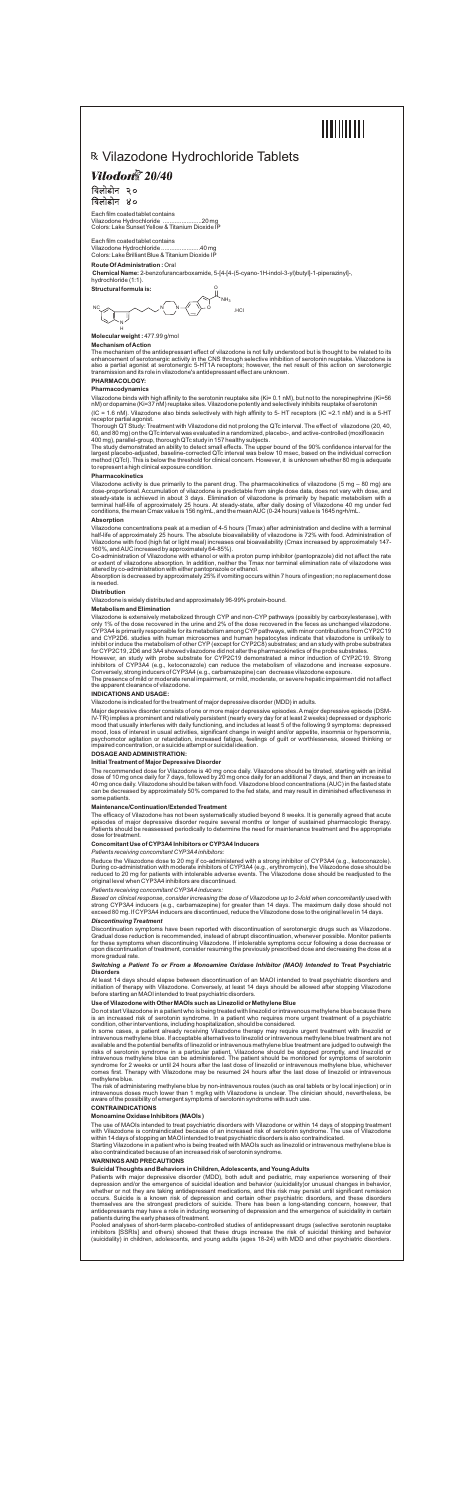# 

# R Vilazodone Hydrochloride Tablets

# **Vilodon**<sup>®</sup> 20/40

विलोडोन २० विलोडोन ४०

Each film coated tablet contains<br>Vilazodone Hydrochloride ...........................20 mg Vilazodone Hydrochloride ... Colors: Lake Sunset Yellow & Titanium Dioxide IP

Each film coated tablet contains Vilazodone Hydrochloride .......................40 mg Colors: Lake Brilliant Blue & Titanium Dioxide IP

### **Route Of Administration :** Oral

**Chemical Name:** 2-benzofurancarboxamide, 5-[4-[4-(5-cyano-1H-indol-3-yl)butyl]-1-piperazinyl]-, hydrochloride (1:1).

**Structural formula is:**

**Molecular weight :** 477.99 g/mol

#### **Mechanism of Action**

The mechanism of the antidepressant effect of vilazodone is not fully understood but is thought to be related to its enhancement of serotonergic activity in the CNS through selective inhibition of serotonin reuptake. Vilazodone is also a partial agonist at serotonergic 5-HT1A receptors; however, the net result of this action on serotonergic transmission and its role in vilazodone's antidepressant effect are unknown.

# **PHARMACOLOGY:**

**Pharmacodynamics**

Vilazodone binds with high affinity to the serotonin reuptake site (Ki= 0.1 nM), but not to the norepinephrine (Ki=56 nM) or dopamine (Ki=37 nM) reuptake sites. Vilazodone potently and selectively inhibits reuptake of serotonin

(IC = 1.6 nM). Vilazodone also binds selectively with high affinity to 5- HT receptors (IC =2.1 nM) and is a 5-HT receptor partial agonist.

Thorough QT Study: Treatment with Vilazodone did not prolong the QTc interval. The effect of vilazodone (20, 40, 60, and 80 mg) on the QTc interval was evaluated in a randomized, placebo-, and active-controlled (moxifloxacin 400 mg), parallel-group, thorough QTc study in 157 healthy subjects.

The study demonstrated an ability to detect small effects. The upper bound of the 90% confidence interval for the largest placebo-adjusted, baseline-corrected QTc interval was below 10 msec, based on the individual correction method (QTcI). This is below the threshold for clinical concern. However, it is unknown whether 80 mg is adequate to represent a high clinical exposure condition.

### **Pharmacokinetics**

Vilazodone activity is due primarily to the parent drug. The pharmacokinetics of vilazodone (5 mg – 80 mg) are dose-proportional. Accumulation of vilazodone is predictable from single dose data, does not vary with dose, and steady-state is achieved in about 3 days. Elimination of vilazodone is primarily by hepatic metabolism with a terminal half-life of approximately 25 hours. At steady-state, after daily dosing of Vilazodone 40 mg under fed conditions, the mean Cmax value is 156 ng/mL, and the mean AUC (0-24 hours) value is 1645 ng•h/mL.

### **Absorption**

Vilazodone concentrations peak at a median of 4-5 hours (Tmax) after administration and decline with a terminal half-life of approximately 25 hours. The absolute bioavailability of vilazodone is 72% with food. Administration of Vilazodone with food (high fat or light meal) increases oral bioavailability (Cmax increased by approximately 147- 160%, and AUC increased by approximately 64-85%).

Co-administration of Vilazodone with ethanol or with a proton pump inhibitor (pantoprazole) did not affect the rate or extent of vilazodone absorption. In addition, neither the Tmax nor terminal elimination rate of vilazodone was altered by co-administration with either pantoprazole or ethanol.

Absorption is decreased by approximately 25% if vomiting occurs within 7 hours of ingestion; no replacement dose is needed.

### **Distribution**

Vilazodone is widely distributed and approximately 96-99% protein-bound.

### **Metabolism and Elimination**

Based on clinical response, consider increasing the dose of Vilazodone up to 2-fold when concomitantly used with strong CYP3A4 inducers (e.g., carbamazepine) for greater than 14 days. The maximum daily dose should not exceed 80 mg. If CYP3A4 inducers are discontinued, reduce the Vilazodone dose to the original level in 14 days.

Vilazodone is extensively metabolized through CYP and non-CYP pathways (possibly by carboxylesterase), with only 1% of the dose recovered in the urine and 2% of the dose recovered in the feces as unchanged vilazodone. CYP3A4 is primarily responsible for its metabolism among CYPpathways, with minor contributions from CYP2C19 and CYP2D6. studies with human microsomes and human hepatocytes indicate that vilazodone is unlikely to inhibit or induce the metabolism of other CYP (except for CYP2C8) substrates; and an study with probe substrates for CYP2C19, 2D6 and 3A4 showed vilazodone did not alter the pharmacokinetics of the probe substrates.

However, an study with probe substrate for CYP2C19 demonstrated a minor induction of CYP2C19. Strong inhibitors of CYP3A4 (e.g., ketoconazole) can reduce the metabolism of vilazodone and increase exposure. Conversely, strong inducers of CYP3A4 (e.g., carbamazepine) can decrease vilazodone exposure.

The presence of mild or moderate renal impairment, or mild, moderate, or severe hepatic impairment did not affect the apparent clearance of vilazodone.

### **INDICATIONS AND USAGE:**

Vilazodone is indicated for the treatment of major depressive disorder (MDD) in adults.

Major depressive disorder consists of one or more major depressive episodes. A major depressive episode (DSM-IV-TR) implies a prominent and relatively persistent (nearly every day for at least 2 weeks) depressed or dysphoric mood that usually interferes with daily functioning, and includes at least 5 of the following 9 symptoms: depressed mood, loss of interest in usual activities, significant change in weight and/or appetite, insomnia or hy psychomotor agitation or retardation, increased fatigue, feelings of guilt or worthlessness, slowed thinking or impaired concentration, or a suicide attempt or suicidal ideation.

### **DOSAGE AND ADMINISTRATION:**

### **Initial Treatment of Major Depressive Disorder**

NC N H N N o .hci  $NH<sub>3</sub>$ 

The recommended dose for Vilazodone is 40 mg once daily. Vilazodone should be titrated, starting with an initial dose of 10 mg once daily for 7 days, followed by 20 mg once daily for an additional 7 days, and then an increase to 40 mg once daily. Vilazodone should be taken with food. Vilazodone blood concentrations (AUC) in the fasted state can be decreased by approximately 50% compared to the fed state, and may result in diminished effectiveness in some patients.

### **Maintenance/Continuation/Extended Treatment**

The efficacy of Vilazodone has not been systematically studied beyond 8 weeks. It is generally agreed that acute episodes of major depressive disorder require several months or longer of sustained pharmacologic therapy. Patients should be reassessed periodically to determine the need for maintenance treatment and the appropriate dose for treatment.

### **Concomitant Use of CYP3A4 Inhibitors or CYP3A4 Inducers**

*Patients receiving concomitant CYP3A4 inhibitors:*

Reduce the Vilazodone dose to 20 mg if co-administered with a strong inhibitor of CYP3A4 (e.g., ketoconazole). During co-administration with moderate inhibitors of CYP3A4 (e.g., erythromycin), the Vilazodone dose should be reduced to 20 mg for patients with intolerable adverse events. The Vilazodone dose should be readjusted to the original level when CYP3A4 inhibitors are discontinued.

### *Patients receiving concomitant CYP3A4 inducers:*

### *Discontinuing Treatment*

Discontinuation symptoms have been reported with discontinuation of serotonergic drugs such as Vilazodone. Gradual dose reduction is recommended, instead of abrupt discontinuation, whenever possible. Monitor patients for these symptoms when discontinuing Vilazodone. If intolerable symptoms occur following a dose decrease or upon discontinuation of treatment, consider resuming the previously prescribed dose and decreasing the dose at a more gradual rate.

### *Switching a Patient To or From a Monoamine Oxidase Inhibitor (MAOI) Intended to* **Treat Psychiatric Disorders**

At least 14 days should elapse between discontinuation of an MAOI intended to treat psychiatric disorders and initiation of therapy with Vilazodone. Conversely, at least 14 days should be allowed after stopping Vilazodone before starting an MAOI intended to treat psychiatric disorders.

### **Use of Vilazodone with Other MAOIs such as Linezolid or Methylene Blue**

Do not start Vilazodone in a patient who is being treated with linezolid or intravenous methylene blue because there is an increased risk of serotonin syndrome. In a patient who requires more urgent treatment of a psychiatric condition, other interventions, including hospitalization, should be considered.

In some cases, a patient already receiving Vilazodone therapy may require urgent treatment with linezolid or intravenous methylene blue. If acceptable alternatives to linezolid or intravenous methylene blue treatment are not available and the potential benefits of linezolid or intravenous methylene blue treatment are judged to outweigh the risks of serotonin syndrome in a particular patient, Vilazodone should be stopped promptly, and linezolid or intravenous methylene blue can be administered. The patient should be monitored for symptoms of serotonin syndrome for 2 weeks or until 24 hours after the last dose of linezolid or intravenous methylene blue, whichever comes first. Therapy with Vilazodone may be resumed 24 hours after the last dose of linezolid or intravenous methylene blue.

The risk of administering methylene blue by non-intravenous routes (such as oral tablets or by local injection) or in intravenous doses much lower than 1 mg/kg with Vilazodone is unclear. The clinician should, nevertheless, be aware of the possibility of emergent symptoms of serotonin syndrome with such use.

### **CONTRAINDICATIONS**

#### **Monoamine Oxidase Inhibitors (MAOIs )**

The use of MAOIs intended to treat psychiatric disorders with Vilazodone or within 14 days of stopping treatment with Vilazodone is contraindicated because of an increased risk of serotonin syndrome. The use of Vilazodone within 14 days of stopping an MAOI intended to treat psychiatric disorders is also contraindicated.

Starting Vilazodone in a patient who is being treated with MAOIs such as linezolid or intravenous methylene blue is also contraindicated because of an increased risk of serotonin syndrome.

### **WARNINGS AND PRECAUTIONS**

### **Suicidal Thoughts and Behaviors in Children, Adolescents, and Young Adults**

Patients with major depressive disorder (MDD), both adult and pediatric, may experience worsening of their depression and/or the emergence of suicidal ideation and behavior (suicidality)or unusual changes in behavior, whether or not they are taking antidepressant medications, and this risk may persist until significant remission occurs. Suicide is a known risk of depression and certain other psychiatric disorders, and these disorders themselves are the strongest predictors of suicide. There has been a long-standing concern, however, that antidepressants may have a role in inducing worsening of depression and the emergence of suicidality in certain patients during the early phases of treatment.

Pooled analyses of short-term placebo-controlled studies of antidepressant drugs (selective serotonin reuptake inhibitors [SSRIs] and others) showed that these drugs increase the risk of suicidal thinking and behavior (suicidality) in children, adolescents, and young adults (ages 18-24) with MDD and other psychiatric disorders.

O